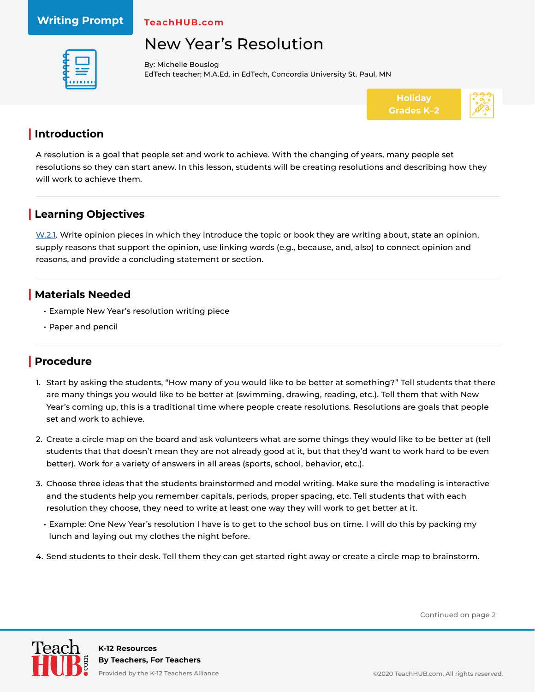#### **Writing Prompt**

**TeachHUB.com**

# New Year's Resolution



By: Michelle Bouslog EdTech teacher; M.A.Ed. in EdTech, Concordia University St. Paul, MN



#### **| Introduction**

A resolution is a goal that people set and work to achieve. With the changing of years, many people set resolutions so they can start anew. In this lesson, students will be creating resolutions and describing how they will work to achieve them.

### **| Learning Objectives**

[W.2.1.](http://www.corestandards.org/ELA-Literacy/W/2/1/) Write opinion pieces in which they introduce the topic or book they are writing about, state an opinion, supply reasons that support the opinion, use linking words (e.g., because, and, also) to connect opinion and reasons, and provide a concluding statement or section.

#### **| Materials Needed**

- Example New Year's resolution writing piece
- Paper and pencil

### **| Procedure**

- 1. Start by asking the students, "How many of you would like to be better at something?" Tell students that there are many things you would like to be better at (swimming, drawing, reading, etc.). Tell them that with New Year's coming up, this is a traditional time where people create resolutions. Resolutions are goals that people set and work to achieve.
- 2. Create a circle map on the board and ask volunteers what are some things they would like to be better at (tell students that that doesn't mean they are not already good at it, but that they'd want to work hard to be even better). Work for a variety of answers in all areas (sports, school, behavior, etc.).
- 3. Choose three ideas that the students brainstormed and model writing. Make sure the modeling is interactive and the students help you remember capitals, periods, proper spacing, etc. Tell students that with each resolution they choose, they need to write at least one way they will work to get better at it.
	- Example: One New Year's resolution I have is to get to the school bus on time. I will do this by packing my lunch and laying out my clothes the night before.
- 4. Send students to their desk. Tell them they can get started right away or create a circle map to brainstorm.

Continued on page 2